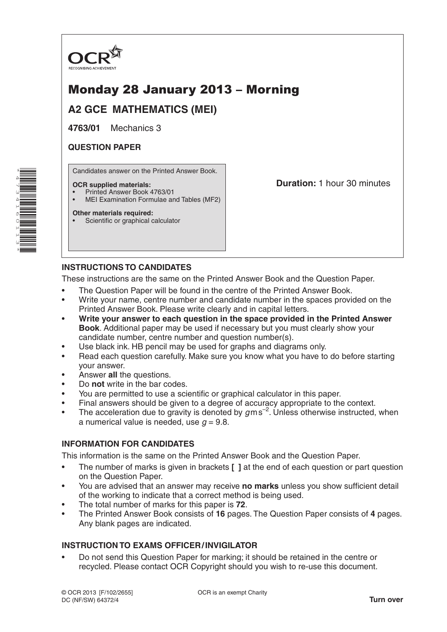

# Monday 28 January 2013 – Morning

**A2 GCE MATHEMATICS (MEI)**

**4763/01** Mechanics 3

# **QUESTION PAPER**

Candidates answer on the Printed Answer Book.

#### **OCR supplied materials:**

- Printed Answer Book 4763/01
- MEI Examination Formulae and Tables (MF2)

#### **Other materials required:**

• Scientific or graphical calculator

**Duration:** 1 hour 30 minutes

## **INSTRUCTIONS TO CANDIDATES**

These instructions are the same on the Printed Answer Book and the Question Paper.

- The Question Paper will be found in the centre of the Printed Answer Book.
- Write your name, centre number and candidate number in the spaces provided on the Printed Answer Book. Please write clearly and in capital letters.
- **Write your answer to each question in the space provided in the Printed Answer Book**. Additional paper may be used if necessary but you must clearly show your candidate number, centre number and question number(s).
- Use black ink. HB pencil may be used for graphs and diagrams only.
- Read each question carefully. Make sure you know what you have to do before starting your answer.
- Answer **all** the questions.
- Do **not** write in the bar codes.
- You are permitted to use a scientific or graphical calculator in this paper.
- Final answers should be given to a degree of accuracy appropriate to the context.
- The acceleration due to gravity is denoted by  $g$ ms<sup>-2</sup>. Unless otherwise instructed, when a numerical value is needed, use  $q = 9.8$ .

### **INFORMATION FOR CANDIDATES**

This information is the same on the Printed Answer Book and the Question Paper.

- The number of marks is given in brackets **[ ]** at the end of each question or part question on the Question Paper.
- You are advised that an answer may receive **no marks** unless you show sufficient detail of the working to indicate that a correct method is being used.
- The total number of marks for this paper is **72**.
- The Printed Answer Book consists of **16** pages. The Question Paper consists of **4** pages. Any blank pages are indicated.

# **INSTRUCTION TO EXAMS OFFICER/INVIGILATOR**

• Do not send this Question Paper for marking; it should be retained in the centre or recycled. Please contact OCR Copyright should you wish to re-use this document.

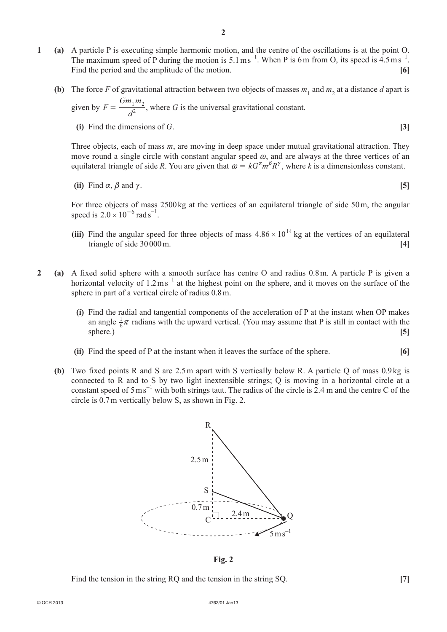- **1 (a)**  A particle P is executing simple harmonic motion, and the centre of the oscillations is at the point O. The maximum speed of P during the motion is  $5.1 \text{ m s}^{-1}$ . When P is 6m from O, its speed is  $4.5 \text{ m s}^{-1}$ . Find the period and the amplitude of the motion. **[6]**
- **(b)** The force *F* of gravitational attraction between two objects of masses  $m_1$  and  $m_2$  at a distance *d* apart is **given** by *F*  $Gm_1m$  $=\frac{Qm_1m_2}{d^2}$ , where *G* is the universal gravitational constant.
	- *d* **(i)** Find the dimensions of *G*.  $[3]$

Three objects, each of mass *m*, are moving in deep space under mutual gravitational attraction. They move round a single circle with constant angular speed  $\omega$ , and are always at the three vertices of an equilateral triangle of side *R*. You are given that  $\omega = kG^{\alpha}m^{\beta}R^{\gamma}$ , where *k* is a dimensionless constant.

(ii) Find 
$$
\alpha
$$
,  $\beta$  and  $\gamma$ . [5]

For three objects of mass 2500kg at the vertices of an equilateral triangle of side 50m, the angular speed is  $2.0 \times 10^{-6}$  rad s<sup>-1</sup>.

- **(iii)** Find the angular speed for three objects of mass  $4.86 \times 10^{14}$  kg at the vertices of an equilateral triangle of side 30000m. **[4]**
- **2 (a)**  A fixed solid sphere with a smooth surface has centre O and radius 0.8m. A particle P is given a horizontal velocity of  $1.2 \text{ m s}^{-1}$  at the highest point on the sphere, and it moves on the surface of the sphere in part of a vertical circle of radius 0.8m.
	- **(i)** Find the radial and tangential components of the acceleration of P at the instant when OP makes an angle  $\frac{1}{6}\pi$  radians with the upward vertical. (You may assume that P is still in contact with the sphere.) **[5]**
	- **(ii)** Find the speed of P at the instant when it leaves the surface of the sphere. **[6]**
	- **(b)** Two fixed points R and S are 2.5m apart with S vertically below R. A particle Q of mass 0.9 kg is connected to R and to S by two light inextensible strings; Q is moving in a horizontal circle at a constant speed of  $5 \text{ m s}^{-1}$  with both strings taut. The radius of the circle is 2.4 m and the centre C of the circle is 0.7m vertically below S, as shown in Fig. 2.



**Fig. 2**

**Find the tension in the string RQ and the tension in the string SQ.** [7]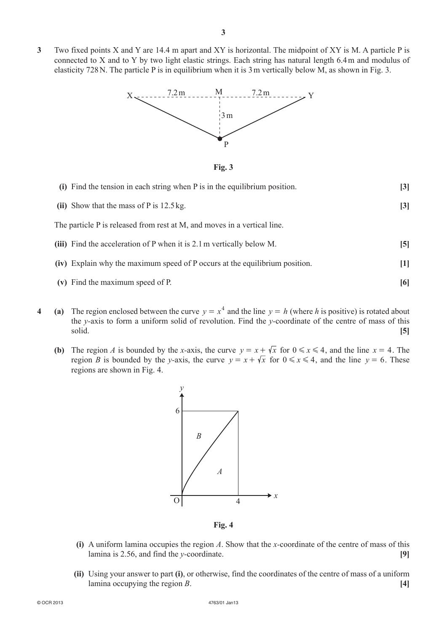**3**  Two fixed points X and Y are 14.4 m apart and XY is horizontal. The midpoint of XY is M. A particle P is connected to X and to Y by two light elastic strings. Each string has natural length 6.4m and modulus of elasticity 728N. The particle P is in equilibrium when it is 3m vertically below M, as shown in Fig. 3.



**Fig. 3**

| (i) Find the tension in each string when P is in the equilibrium position.  | $\left 3\right $ |
|-----------------------------------------------------------------------------|------------------|
| (ii) Show that the mass of $P$ is 12.5 kg.                                  | $\left 3\right $ |
| The particle P is released from rest at M, and moves in a vertical line.    |                  |
| (iii) Find the acceleration of P when it is 2.1 m vertically below M.       | $\vert 5 \vert$  |
| (iv) Explain why the maximum speed of P occurs at the equilibrium position. | [1]              |
| (v) Find the maximum speed of P.                                            | [6]              |

- **4** (a) The region enclosed between the curve  $y = x^4$  and the line  $y = h$  (where *h* is positive) is rotated about the *y-*axis to form a uniform solid of revolution. Find the *y-*coordinate of the centre of mass of this solid. **[5]**
	- **(b)** The region *A* is bounded by the *x*-axis, the curve  $y = x + \sqrt{x}$  for  $0 \le x \le 4$ , and the line  $x = 4$ . The region *B* is bounded by the *y*-axis, the curve  $y = x + \sqrt{x}$  for  $0 \le x \le 4$ , and the line  $y = 6$ . These regions are shown in Fig. 4.



**Fig. 4**

- **(i)** A uniform lamina occupies the region *A*. Show that the *x*-coordinate of the centre of mass of this lamina is 2.56, and find the *y-*coordinate. **[9]**
- **(ii)** Using your answer to part **(i)**, or otherwise, find the coordinates of the centre of mass of a uniform lamina occupying the region *B*. **[4]**